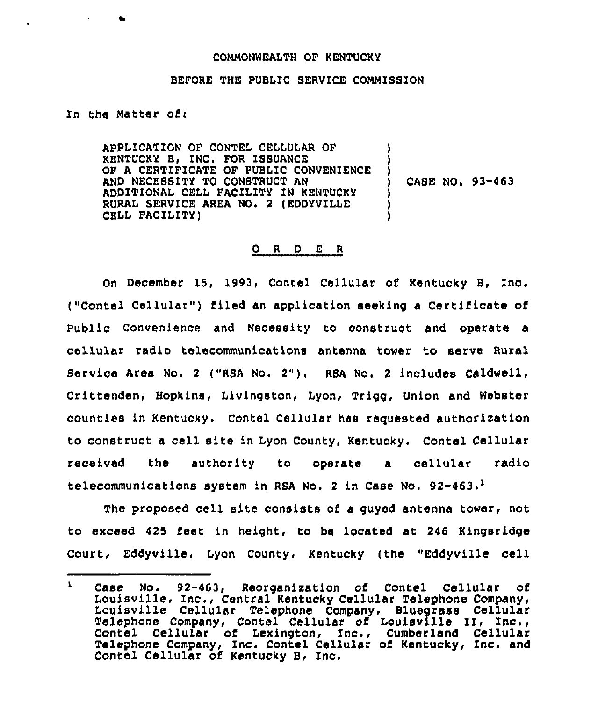## COHMONWEALTH OF KENTUCKY

## BEFORE THE PUBLIC SERVICE COMMISSION

Zn the Natter ofi

APPLICATION OF CONTEL CELLULAR OF KENTUCKY B, INC. FOR ISSUANCE OF A CERTIFICATE OF PUBLIC CONVENIENCE AND NECESSITY TO CONSTRUCT AN ADDITIONAL CELL FACILITY ZN KENTUCKY RURAL SERVICE AREA NO. 2 (EDDYVILLE CEIL FACILITY) ) ) ) ) CASE NO. 93-463 ) ) )

## 0 <sup>R</sup> <sup>D</sup> E <sup>R</sup>

On December 15, 1993, Contel Cellular of Kentucky B, Inc, ("Contel Cellular") filed an application seeking a Certificate of Public Convenience and Necessity to construct and operate a cellular radio telecommunications antenna tower to serve Rural Service Area No. <sup>2</sup> ("RSA No. 2"), RSA No. <sup>2</sup> includes Caldwell, Crittenden, Hopkins, Livingston, Lyon, Trigg, Union and Webster counties in Kentucky. Contel Cellular has requested authorization to construct a cell site in Lyon County, Kentucky. Contel Cellular received the authority to operate a cellular radio telecommunications system in RSA No. 2 in Case No.  $92-463$ .

The proposed cell site consists of a guyed antenna tower, not to exceed 425 feet in height, to be located at 246 Kingsridge Court, Eddyville, Lyon County, Kentucky (the "Eddyville cell

 $\mathbf{L}$ Case No. 92-463, Reorganisation of Contel Cellular of Louisville, Inc,, Central Kentucky Cellular Telephone Company, Louisville Cellular Telephone Company, Bluegrass Cellular Telephone Company, Contel Cellular of Louisville II, Inc., Contel Cellular of Lexington, Inc., Cumberland Cellular Telephone Company, Inc. Contel Cellular of Kentucky, Inc. and Contel Cellular of Kentucky B, Inc.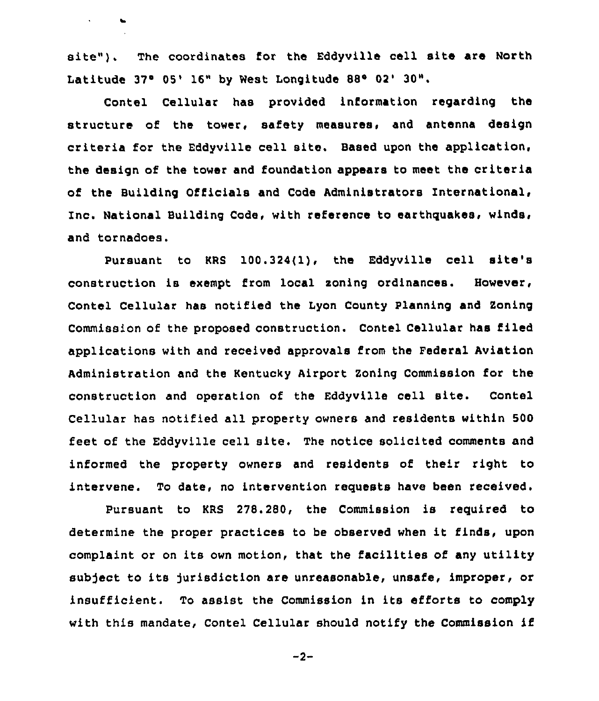site"). The coordinates for the Eddyville cell site are North Latitude 37° 05' 16" by West Longitude 88° 02' 30".

Contel Cellular has provided information regarding the structure of the tower, safety measures, and antenna design criteria for the Eddyville cell site. Based upon the application, the design of the tower and foundation appears to meet the criteria of the Building Officials and Code Administrators International, Inc. National Building Code, with reference to earthquakes, winds, and tornadoes.

Pursuant to KRS 100.324(1), the Eddyville cell site's construction is exempt from local soning ordinances. However, Contel Cellular has notified the Lyon County Planning and Zoning Commission of the proposed construction. Contel Cellular has filed applications with and received approvals from the Federal Aviation Administration and the Kentucky Airport Zoning Commission for the construction and operation of the Eddyville cell site. Contel Cellular has notified all property owners and residents within 500 feet of the Eddyville cell site. The notice solicited comments and informed the property owners and residents of their right to intervene. To date, no intervention requests have been received.

Pursuant to KRS 278.280, the Commission is required to determine the proper practices to be observed when it finds, upon complaint or on its own motion, that the facilities of any utility subject to its jurisdiction are unreasonable, unsafe, improper, or insufficient. To assist the Commission in its efforts to comply with this mandate, Contel Cellular should notify the Commission if

 $-2-$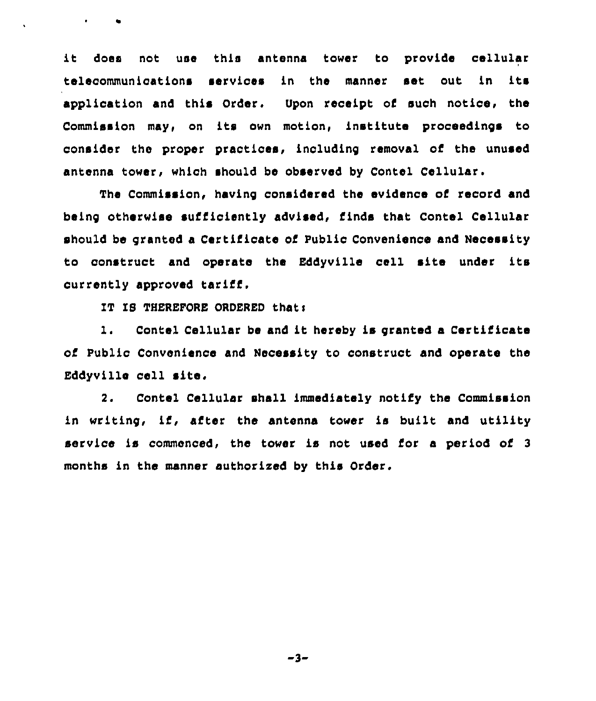it does not use this antenna tower to provide cellular telecommunications services in the manner set out in its application and this Order. Upon receipt of such notice, the Commission may, on its own motion, institute proceedings to consider the proper practices, including removal of the unused antenna tower, which should be observed by Contel Cellular.

The Commission, having considered the evidence of record and being otherwise sufficiently advised, finds that Contel Cellular should be granted a Certificate of Public Convenience and Necessity to oonstruct and operate the Eddyville cell site under its currently approved tariff.

IT IS THEREFORE ORDERED that:

l. Contel Cellular be and it hereby is granted <sup>a</sup> Certificate of Public Convenience and Necessity to construct and operate the Eddyville cell site.

2. Contel Cellular shall immediately notify the Commission in writing, if, after the antenna tower is built and utility service is commenced, the tower is not used for a period of <sup>3</sup> months in the manner authorized by this Order.

 $-3-$